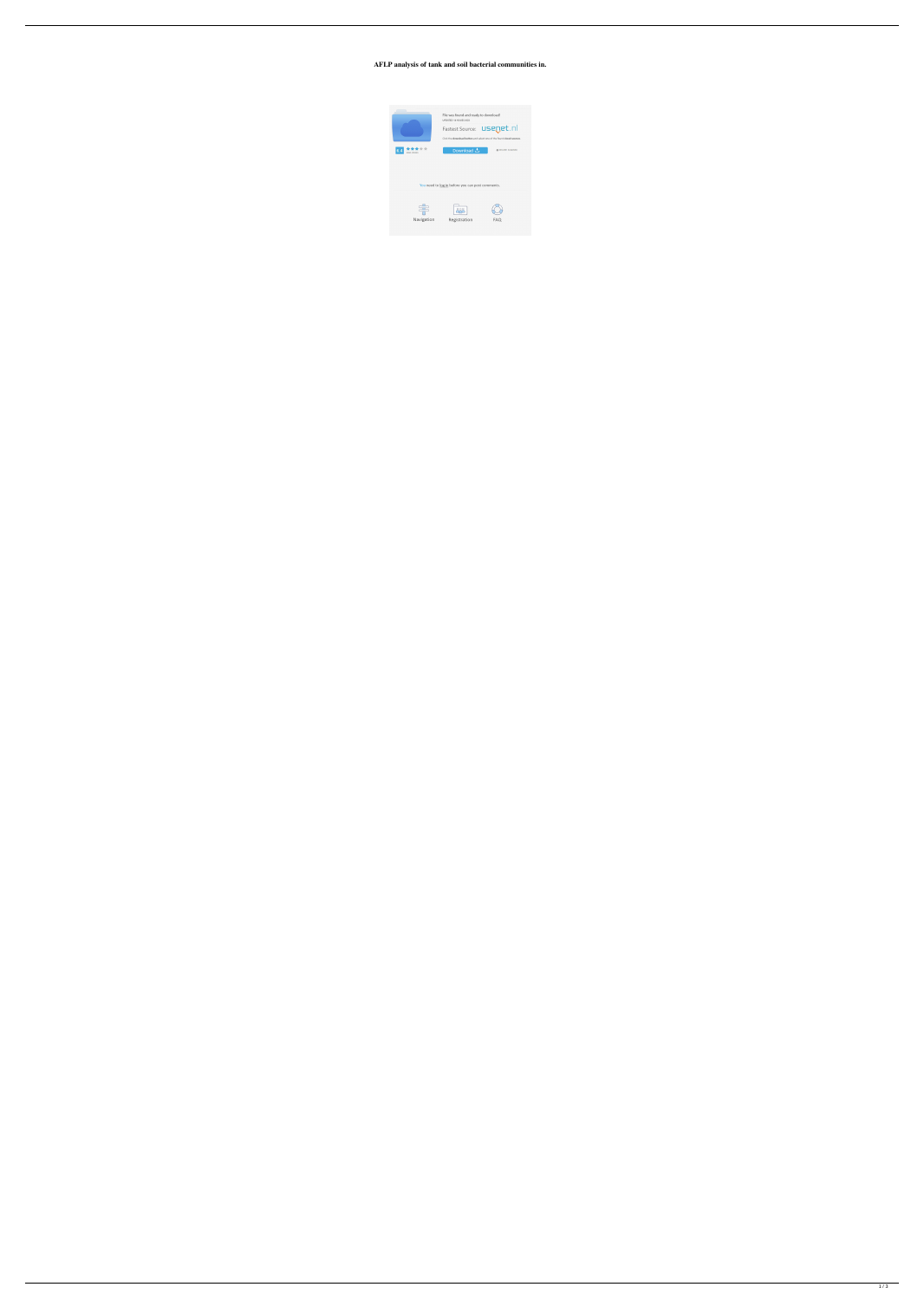## **AFLP analysis of tank and soil bacterial communities in.**

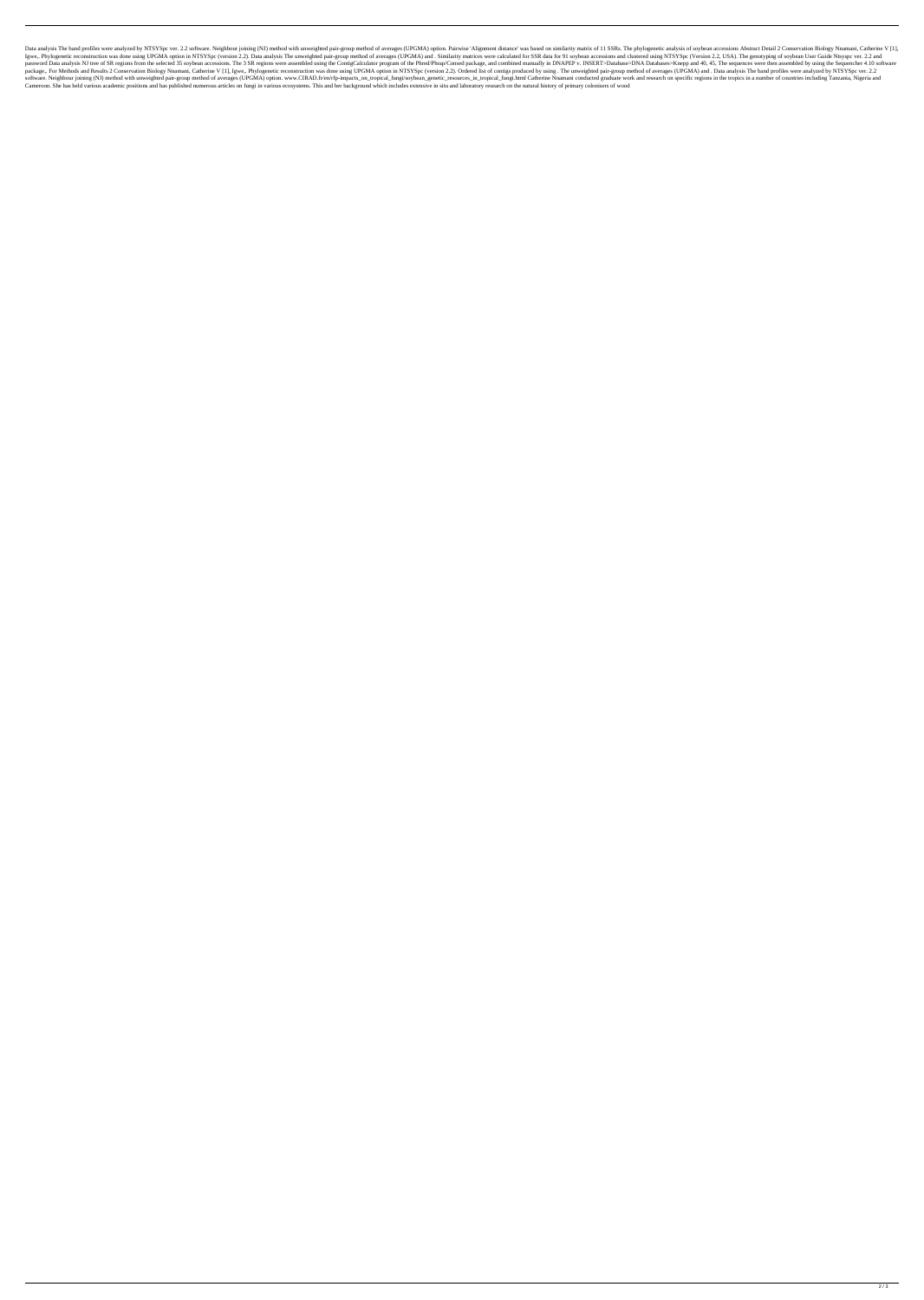Data analysis The band profiles were analyzed by NTSYSpc ver. 2.2 software. Neighbour joining (NJ) method with unweighted pair-group method of averages (UPGMA) option. Pairwise 'Alignment distance' was based on similarity Igwe,. Phylogenetic reconstruction was done using UPGMA option in NTSYSpc (version 2.2). Data analysis The unweighted pair-group method of averages (UPGMA) and. Similarity matrices were calculated for SSR data for 91 soybe password Data analysis NJ tree of SR regions from the selected 35 soybean accessions. The 3 SR regions were assembled using the ContigCalculator program of the Phred/Phrap/Consed package, and combined manually in DNAPEP v. package,. For Methods and Results 2 Conservation Biology Nnamani, Catherine V [1], Igwe,. Phylogenetic reconstruction was done using UPGMA option in NTSYSpc (version 2.2). Ordered list of contigs produced by using. The unw software. Neighbour joining (NJ) method with unweighted pair-group method of averages (UPGMA) option. www.CIRAD.fr/en/rfp-impacts\_on\_tropical\_fungi/soybean\_genetic\_resources\_in\_tropical\_fungi.html Catherine Nnamani conduct Cameroon. She has held various academic positions and has published numerous articles on fungi in various ecosystems. This and her background which includes extensive in situ and laboratory research on the natural history